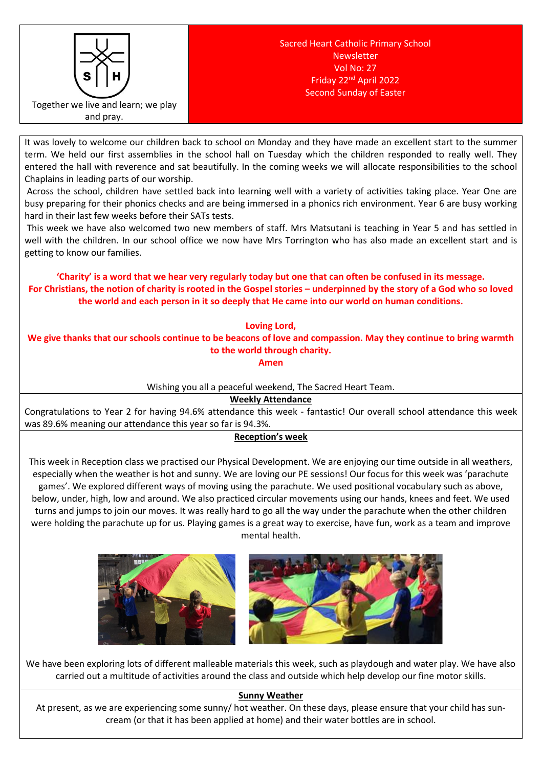

It was lovely to welcome our children back to school on Monday and they have made an excellent start to the summer term. We held our first assemblies in the school hall on Tuesday which the children responded to really well. They entered the hall with reverence and sat beautifully. In the coming weeks we will allocate responsibilities to the school Chaplains in leading parts of our worship.

Across the school, children have settled back into learning well with a variety of activities taking place. Year One are busy preparing for their phonics checks and are being immersed in a phonics rich environment. Year 6 are busy working hard in their last few weeks before their SATs tests.

This week we have also welcomed two new members of staff. Mrs Matsutani is teaching in Year 5 and has settled in well with the children. In our school office we now have Mrs Torrington who has also made an excellent start and is getting to know our families.

**'Charity' is a word that we hear very regularly today but one that can often be confused in its message. For Christians, the notion of charity is rooted in the Gospel stories – underpinned by the story of a God who so loved the world and each person in it so deeply that He came into our world on human conditions.** 

**Loving Lord,** 

**We give thanks that our schools continue to be beacons of love and compassion. May they continue to bring warmth to the world through charity.**

**Amen**

Wishing you all a peaceful weekend, The Sacred Heart Team.

**Weekly Attendance**

Congratulations to Year 2 for having 94.6% attendance this week - fantastic! Our overall school attendance this week was 89.6% meaning our attendance this year so far is 94.3%.

# **Reception's week**

This week in Reception class we practised our Physical Development. We are enjoying our time outside in all weathers, especially when the weather is hot and sunny. We are loving our PE sessions! Our focus for this week was 'parachute games'. We explored different ways of moving using the parachute. We used positional vocabulary such as above, below, under, high, low and around. We also practiced circular movements using our hands, knees and feet. We used turns and jumps to join our moves. It was really hard to go all the way under the parachute when the other children were holding the parachute up for us. Playing games is a great way to exercise, have fun, work as a team and improve mental health.





We have been exploring lots of different malleable materials this week, such as playdough and water play. We have also carried out a multitude of activities around the class and outside which help develop our fine motor skills.

# **Sunny Weather**

At present, as we are experiencing some sunny/ hot weather. On these days, please ensure that your child has suncream (or that it has been applied at home) and their water bottles are in school.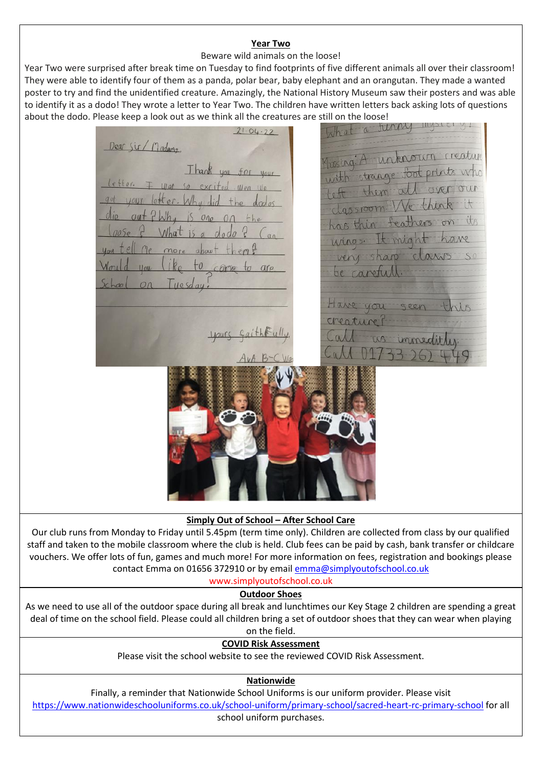### **Year Two**

## Beware wild animals on the loose!

Year Two were surprised after break time on Tuesday to find footprints of five different animals all over their classroom! They were able to identify four of them as a panda, polar bear, baby elephant and an orangutan. They made a wanted poster to try and find the unidentified creature. Amazingly, the National History Museum saw their posters and was able to identify it as a dodo! They wrote a letter to Year Two. The children have written letters back asking lots of questions

about the dodo. Please keep a look out as we think all the creatures are still on the loose!<br>21 Ok. 22 **12 Ok. 22 Please Accept the loose** Dear Sir/Madama Musing: A unknown creature Musing: A unknown treature<br>with strange foot prints who Thank dassroom We think it has thin feathers on its wings. It might have very sharp claws be carefull. Have you cheature's

#### **Simply Out of School – After School Care**

Our club runs from Monday to Friday until 5.45pm (term time only). Children are collected from class by our qualified staff and taken to the mobile classroom where the club is held. Club fees can be paid by cash, bank transfer or childcare vouchers. We offer lots of fun, games and much more! For more information on fees, registration and bookings please contact Emma on 01656 372910 or by email [emma@simplyoutofschool.co.uk](mailto:emma@simplyoutofschool.co.uk)

www.simplyoutofschool.co.uk

#### **Outdoor Shoes**

As we need to use all of the outdoor space during all break and lunchtimes our Key Stage 2 children are spending a great deal of time on the school field. Please could all children bring a set of outdoor shoes that they can wear when playing on the field.

**COVID Risk Assessment**

Please visit the school website to see the reviewed COVID Risk Assessment.

## **Nationwide**

Finally, a reminder that Nationwide School Uniforms is our uniform provider. Please visit <https://www.nationwideschooluniforms.co.uk/school-uniform/primary-school/sacred-heart-rc-primary-school> for all school uniform purchases.